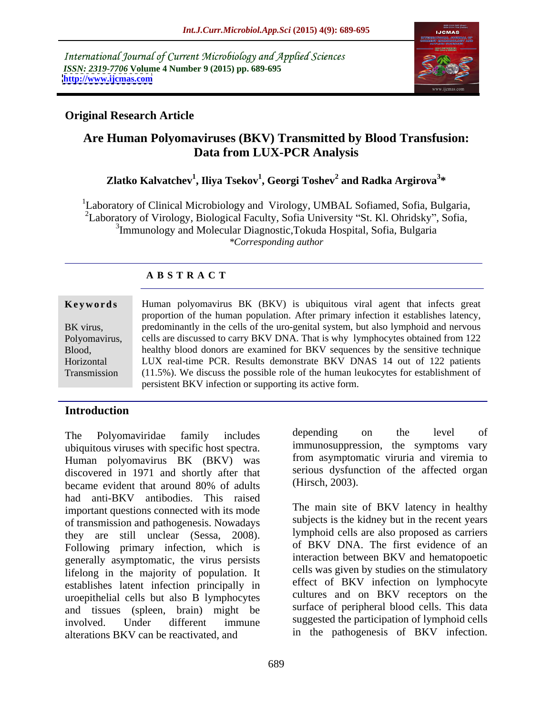International Journal of Current Microbiology and Applied Sciences *ISSN: 2319-7706* **Volume 4 Number 9 (2015) pp. 689-695 <http://www.ijcmas.com>**



# **Original Research Article**

# **Are Human Polyomaviruses (BKV) Transmitted by Blood Transfusion: Data from LUX-PCR Analysis**

### **Zlatko Kalvatchev<sup>1</sup> , Iliya Tsekov<sup>1</sup> , Georgi Toshev<sup>2</sup> and Radka Argirova<sup>3</sup> \***

<sup>1</sup>Laboratory of Clinical Microbiology and Virology, UMBAL Sofiamed, Sofia, Bulgaria, <sup>2</sup>Laboratory of Virology, Biological Faculty, Sofia University "St. Kl. Ohridsky", Sofia, <sup>3</sup>Immunology and Molecular Diagnostic, Tokuda Hospital, Sofia, Bulgaria *\*Corresponding author*

# **A B S T R A C T**

Transmission

Human polyomavirus BK (BKV) is ubiquitous viral agent that infects great **Ke ywo rds** proportion of the human population. After primary infection it establishes latency, BK virus, predominantly in the cells of the uro-genital system, but also lymphoid and nervous Polyomavirus, cells are discussed to carry BKV DNA. That is why lymphocytes obtained from 122 healthy blood donors are examined for BKV sequences by the sensitive technique Blood, LUX real-time PCR. Results demonstrate BKV DNAS 14 out of 122 patients Horizontal (11.5%). We discuss the possible role of the human leukocytes for establishment of persistent BKV infection or supporting its active form.

# **Introduction**

The Polyomaviridae family includes depending on the level of ubiquitous viruses with specific host spectra. Human polyomavirus BK (BKV) was discovered in 1971 and shortly after that became evident that around 80% of adults (Hirsch, 2003). had anti-BKV antibodies. This raised important questions connected with its mode of transmission and pathogenesis. Nowadays they are still unclear (Sessa, 2008). Following primary infection, which is generally asymptomatic, the virus persists lifelong in the majority of population. It establishes latent infection principally in uroepithelial cells but also B lymphocytes and tissues (spleen, brain) might be involved. Under different immune suggested the participation of lymphoid cells alterations BKV can be reactivated, and

depending on the level of immunosuppression, the symptoms vary from asymptomatic viruria and viremia to serious dysfunction of the affected organ (Hirsch, 2003).

The main site of BKV latency in healthy subjects is the kidney but in the recent years lymphoid cells are also proposed as carriers of BKV DNA. The first evidence of an interaction between BKV and hematopoetic cells was given by studies on the stimulatory effect of BKV infection on lymphocyte cultures and on BKV receptors on the surface of peripheral blood cells. This data in the pathogenesis of BKV infection.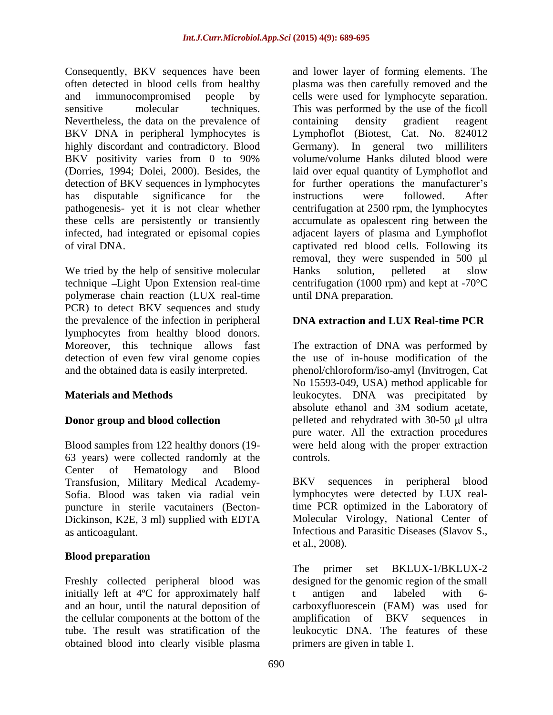Consequently, BKV sequences have been Nevertheless, the data on the prevalence of containing density gradient reagent detection of BKV sequences in lymphocytes

We tried by the help of sensitive molecular Hanks solution, pelleted at slow technique Light Upon Extension real-time polymerase chain reaction (LUX real-time PCR) to detect BKV sequences and study the prevalence of the infection in peripheral lymphocytes from healthy blood donors.

63 years) were collected randomly at the Center of Hematology and Blood Transfusion, Military Medical Academy- Dickinson, K2E, 3 ml) supplied with EDTA

### **Blood preparation**

initially left at 4<sup>o</sup>C for approximately half to antigen and labeled with 6obtained blood into clearly visible plasma

often detected in blood cells from healthy plasma was then carefully removed and the and immunocompromised people by cells were used for lymphocyte separation. sensitive molecular techniques. This was performed by the use of the ficoll BKV DNA in peripheral lymphocytes is Lymphoflot (Biotest, Cat. No. 824012 highly discordant and contradictory. Blood Germany). In general two milliliters BKV positivity varies from 0 to 90% volume/volume Hanks diluted blood were (Dorries, 1994; Dolei, 2000). Besides, the laid over equal quantity of Lymphoflot and has disputable significance for the instructions were followed. After pathogenesis- yet it is not clear whether centrifugation at 2500 rpm, the lymphocytes these cells are persistently or transiently accumulate as opalescent ring between the infected, had integrated or episomal copies adjacent layers of plasma and Lymphoflot of viral DNA. captivated red blood cells. Following its and lower layer of forming elements. The containing density gradient reagent volume/volume Hanks diluted blood were for further operations the manufacturer's instructions were followed. After removal, they were suspended in  $500 \mu l$ Hanks solution, pelleted at slow centrifugation (1000 rpm) and kept at -70°C until DNA preparation.

# **DNA extraction and LUX Real-time PCR**

Moreover, this technique allows fast The extraction of DNA was performed by detection of even few viral genome copies the use of in-house modification of the and the obtained data is easily interpreted. phenol/chloroform/iso-amyl (Invitrogen, Cat **Materials and Methods** leukocytes. DNA was precipitated by **Donor group and blood collection** pelleted and rehydrated with 30-50 µl ultra Blood samples from 122 healthy donors (19- were held along with the proper extraction No 15593-049, USA) method applicable for absolute ethanol and 3M sodium acetate, pure water. All the extraction procedures controls.

Sofia. Blood was taken via radial vein lymphocytes were detected by LUX realpuncture in sterile vacutainers (Becton- time PCR optimized in the Laboratory of as anticoagulant. Infectious and Parasitic Diseases (Slavov S., BKV sequences in peripheral blood Molecular Virology, National Center of et al., 2008).

Freshly collected peripheral blood was designed for the genomic region of the small and an hour, until the natural deposition of carboxyfluorescein (FAM) was used for the cellular components at the bottom of the amplification of BKV sequences in tube. The result was stratification of the leukocytic DNA. The features of these The primer set BKLUX-1/BKLUX-2 t antigen and labeled with 6 amplification of BKV sequences in primers are given in table 1.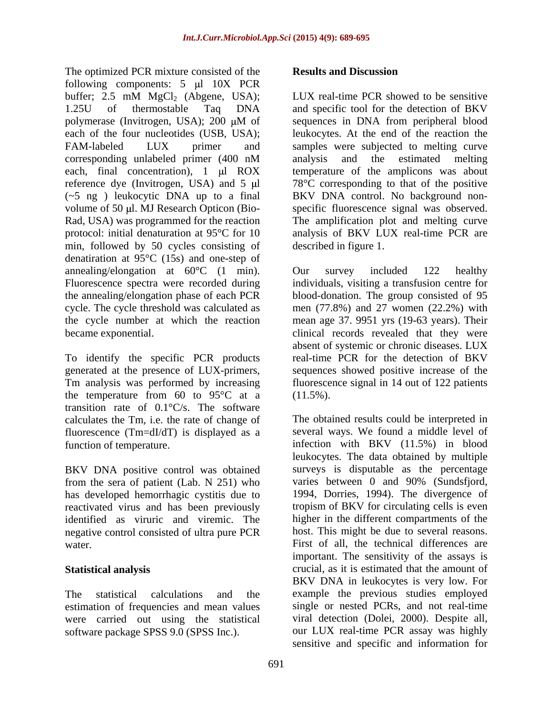The optimized PCR mixture consisted of the **Results and Discussion** following components:  $5 \text{ µl}$   $10X$  PCR buffer; 2.5 mM  $MgCl_2$  (Abgene, USA); LUX real-time PCR showed to be sensitive 1.25U of thermostable Taq DNA and specific tool for the detection of BKV polymerase (Invitrogen, USA); 200 μM of sequences in DNA from peripheral blood each of the four nucleotides (USB, USA); leukocytes. At the end of the reaction the FAM-labeled LUX primer and sampleswere subjected to melting curve corresponding unlabeled primer (400 nM each, final concentration),  $1 \mu l$  ROX temperature of the amplicons was about reference dye (Invitrogen, USA) and 5  $\mu$  78°C corresponding to that of the positive (~5 ng ) leukocytic DNA up to a final BKV DNA control. No background non volume of 50 µl. MJ Research Opticon (Bio-<br>specific fluorescence signal was observed. Rad, USA) was programmed for the reaction The amplification plot and melting curve protocol: initial denaturation at 95°C for 10 analysis of BKV LUX real-time PCR are min, followed by 50 cycles consisting of denatiration at 95°C (15s) and one-step of annealing/elongation at  $60^{\circ}$ C (1 min). Our survey included 122 healthy Fluorescence spectra were recorded during individuals, visiting a transfusion centre for the annealing/elongation phase of each PCR blood-donation. The group consisted of 95 cycle. The cycle threshold was calculated as men (77.8%) and 27 women (22.2%) with the cycle number at which the reaction mean age 37. 9951 yrs (19-63 years). Their

generated at the presence of LUX-primers, the temperature from 60 to  $95^{\circ}$ C at a (11.5%). transition rate of 0.1°C/s. The software calculates the Tm, i.e. the rate of change of fluorescence (Tm=dI/dT) is displayed as a

BKV DNA positive control was obtained from the sera of patient (Lab. N 251) who has developed hemorrhagic cystitis due to identified as viruric and viremic. The negative control consisted of ultra pure PCR

were carried out using the statistical software package SPSS 9.0 (SPSS Inc.).

### **Results and Discussion**

LUX real-time PCR showed to be sensitive sequences in DNA from peripheral blood analysis and the estimated melting described in figure 1.

became exponential. The clinical records revealed that they were To identify the specific PCR products real-time PCR for the detection of BKV Tm analysis was performed by increasing fluorescence signal in 14 out of 122 patients Our survey included 122 healthy absent of systemic or chronic diseases. LUX sequences showed positive increase of the (11.5%).

function of temperature. infection with BKV (11.5%) in blood reactivated virus and has been previously tropism of BKV for circulating cells is even water. First of all, the technical differences are **Statistical analysis** crucial, as it is estimated that the amount of The statistical calculations and the example the previous studies employed estimation of frequencies and mean values single or nested PCRs, and not real-time The obtained results could be interpreted in several ways. We found a middle level of leukocytes. The data obtained by multiple surveys is disputable as the percentage varies between 0 and 90% (Sundsfjord, 1994, Dorries, 1994). The divergence of higher in the different compartments of the host. This might be due to several reasons. important. The sensitivity of the assays is BKV DNA in leukocytes is very low. For viral detection (Dolei, 2000). Despite all, our LUX real-time PCR assay was highly sensitive and specific and information for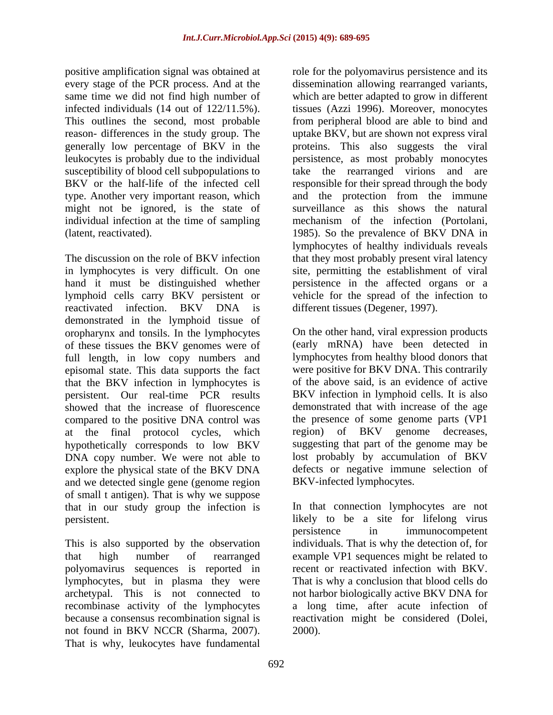reason- differences in the study group. The might not be ignored, is the state of individual infection at the time of sampling mechanism of the infection (Portolani,

The discussion on the role of BKV infection that they most probably present viral latency in lymphocytes is very difficult. On one site, permitting the establishment of viral hand it must be distinguished whether persistence in the affected organs or a lymphoid cells carry BKV persistent or reactivated infection. BKV DNA is different tissues (Degener, 1997). demonstrated in the lymphoid tissue of oropharynx and tonsils. In the lymphocytes of these tissues the BKV genomes were of full length, in low copy numbers and episomal state. This data supports the fact that the BKV infection in lymphocytes is persistent. Our real-time PCR results compared to the positive DNA control was at the final protocol cycles, which hypothetically corresponds to low BKV DNA copy number. We were not able to explore the physical state of the BKV DNA and we detected single gene (genome region of small t antigen). That is why we suppose that in our study group the infection is

polyomavirus sequences is reported in lymphocytes, but in plasma they were not found in BKV NCCR (Sharma, 2007). That is why, leukocytes have fundamental

positive amplification signal was obtained at role for the polyomavirus persistence and its every stage of the PCR process. And at the dissemination allowing rearranged variants, same time we did not find high number of which are better adapted to grow in different infected individuals (14 out of 122/11.5%). tissues (Azzi 1996). Moreover, monocytes This outlines the second, most probable from peripheral blood are able to bind and generally low percentage of BKV in the proteins. This also suggests the viral leukocytes is probably due to the individual persistence, as most probably monocytes susceptibility of blood cell subpopulations to take the rearranged virions and are BKV or the half-life of the infected cell responsible for their spread through the body type. Another very important reason, which and the protection from the immune (latent, reactivated). 1985). So the prevalence of BKV DNA in uptake BKV, but are shown not express viral surveillance as this shows the natural mechanism of the infection (Portolani, lymphocytes of healthy individuals reveals vehicle for the spread of the infection to different tissues (Degener, 1997).

showed that the increase of fluorescence demonstrated that with increase of the age On the other hand, viral expression products (early mRNA) have been detected in lymphocytes from healthy blood donors that were positive for BKV DNA. This contrarily of the above said, is an evidence of active BKV infection in lymphoid cells. It is also the presence of some genome parts (VP1 region) of BKV genome decreases, suggesting that part of the genome may be lost probably by accumulation of BKV defects or negative immune selection of BKV-infected lymphocytes.

persistent. likely to be a site for lifelong virus This is also supported by the observation individuals. That is why the detection of, for that high number of rearranged example VP1 sequences might be related to archetypal. This is not connected to not harbor biologically active BKV DNA for recombinase activity of the lymphocytes a long time, after acute infection of because a consensus recombination signal is reactivation might be considered (Dolei, In that connection lymphocytes are not persistence in immunocompetent recent or reactivated infection with BKV. That is why a conclusion that blood cells do 2000).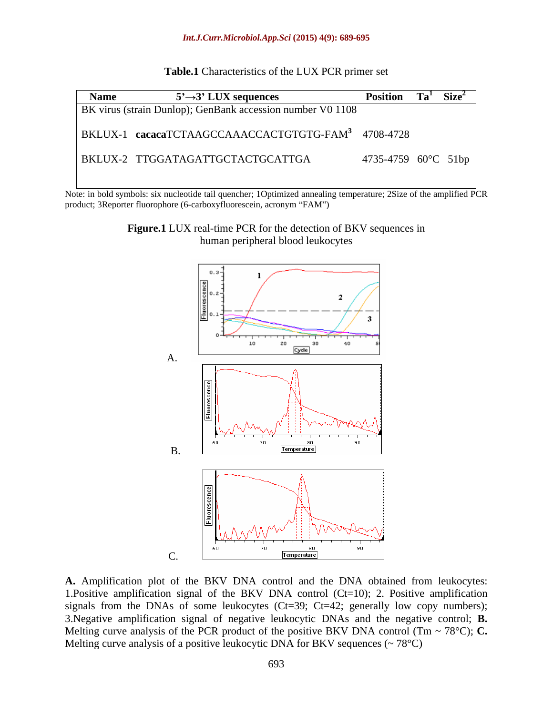| Table.<br>$\sim$ DCD<br>LUX<br>of the $\Box$<br>$\circ$ teristics $\cdot$<br>Character. | set<br>∡CR primer |  |
|-----------------------------------------------------------------------------------------|-------------------|--|
|                                                                                         |                   |  |

| <b>Name</b> | $5' \rightarrow 3'$ LUX sequences                              | Position Ta <sup>1</sup> Size <sup>2</sup> |
|-------------|----------------------------------------------------------------|--------------------------------------------|
|             | BK virus (strain Dunlop); GenBank accession number V0 1108     |                                            |
|             | BKLUX-1 cacacaTCTAAGCCAAACCACTGTGTG-FAM <sup>3</sup> 4708-4728 |                                            |
|             | BKLUX-2 TTGGATAGATTGCTACTGCATTGA                               | 4735-4759 60°C 51bp                        |

Note: in bold symbols: six nucleotide tail quencher; 1Optimized annealing temperature; 2Size of the amplified PCR product; 3Reporter fluorophore (6-carboxyfluorescein, acronym "FAM")

> **Figure.1** LUX real-time PCR for the detection of BKV sequences in human peripheral blood leukocytes



**A.** Amplification plot of the BKV DNA control and the DNA obtained from leukocytes: 1.Positive amplification signal of the BKV DNA control (Ct=10); 2. Positive amplification signals from the DNAs of some leukocytes  $(Ct=39; Ct=42;$  generally low copy numbers); 3.Negative amplification signal of negative leukocytic DNAs and the negative control; **B.** Melting curve analysis of the PCR product of the positive BKV DNA control (Tm  $\sim$  78°C); **C.** Melting curve analysis of a positive leukocytic DNA for BKV sequences  $\left(\sim 78^{\circ}\text{C}\right)$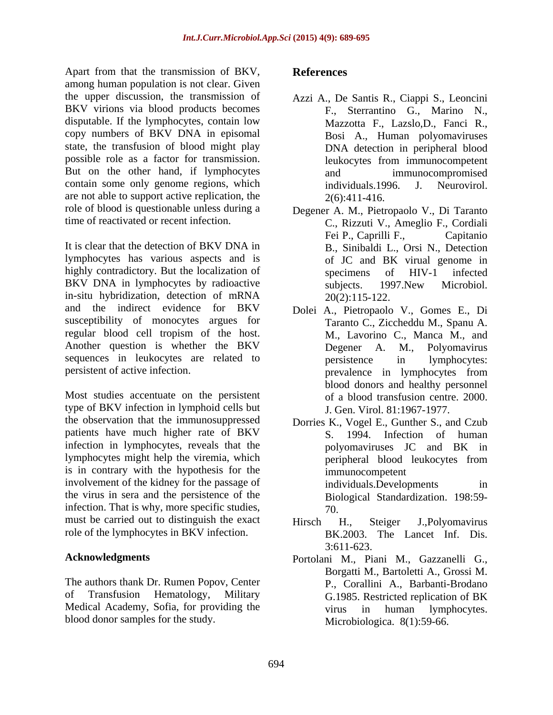Apart from that the transmission of BKV, References among human population is not clear. Given the upper discussion, the transmission of BKV virions via blood products becomes disputable. If the lymphocytes, contain low copy numbers of BKV DNA in episomal state, the transfusion of blood might play possible role as a factor for transmission. But on the other hand, if lymphocytes and immunocompromised contain some only genome regions, which individuals 1996. J. Neurovirol. are not able to support active replication, the  $2(6):411-416$ . role of blood is questionable unless during a

It is clear that the detection of BKV DNA in B., Sinibaldi L., Orsi N., Detection lymphocytes has various aspects and is highly contradictory. But the localization of specimens of HIV-1 infected BKV DNA in lymphocytes by radioactive subjects. 1997. New Microbiol. in-situ hybridization, detection of mRNA and the indirect evidence for BKV Dolei A., Pietropaolo V., Gomes E., Di susceptibility of monocytes argues for regular blood cell tropism of the host. Another question is whether the BKV Degener A. M., Polyomavirus sequences in leukocytes are related to persistence in lymphocytes:

Most studies accentuate on the persistent type of BKV infection in lymphoid cells but the observation that the immunosuppressed patients have much higher rate of BKV infection in lymphocytes, reveals that the polyomaviruses JC and BK in lymphocytes might help the viremia, which is in contrary with the hypothesis for the involvement of the kidney for the passage of individuals. Developments in the virus in sera and the persistence of the infection. That is why, more specific studies,  $\frac{70}{6}$ must be carried out to distinguish the exact Hirsch H., Steiger J., Polyomavirus role of the lymphocytes in BKV infection.

The authors thank Dr. Rumen Popov, Center of Transfusion Hematology, Military G.1985. Restricted replication of BK Medical Academy, Sofia, for providing the virus in human lymphocytes. blood donor samples for the study.

### **References**

- Azzi A., De Santis R., Ciappi S., Leoncini F., Sterrantino G., Marino N., Mazzotta F., Lazslo,D., Fanci R., Bosi A., Human polyomaviruses DNA detection in peripheral blood leukocytes from immunocompetent and immunocompromised individuals.1996. J. Neurovirol.  $2(6):411-416.$
- time of reactivated or recent infection. C., Rizzuti V., Ameglio F., Cordiali Degener A. M., Pietropaolo V., Di Taranto Fei P., Caprilli F., Capitanio of JC and BK virual genome in specimens of HIV-1 infected subjects. 1997.New Microbiol. 20(2):115-122.
- persistent of active infection. The prevalence in lymphocytes from Taranto C., Ziccheddu M., Spanu A. M., Lavorino C., Manca M., and Degener A. M., Polyomavirus persistence in lymphocytes: prevalence in lymphocytes from blood donors and healthy personnel of a blood transfusion centre. 2000. J. Gen. Virol. 81:1967-1977.
	- Dorries K., Vogel E., Gunther S., and Czub S. 1994. Infection of human polyomaviruses JC and BK in peripheral blood leukocytes from immunocompetent individuals.Developments in Biological Standardization. 198:59- 70.
	- Hirsch H., Steiger J.,Polyomavirus BK.2003. The Lancet Inf. Dis. 3:611-623.
- **Acknowledgments** Portolani M., Piani M., Gazzanelli G., Borgatti M., Bartoletti A., Grossi M. P., Corallini A., Barbanti-Brodano G.1985. Restricted replication of BK virus in human lymphocytes. Microbiologica. 8(1):59-66.